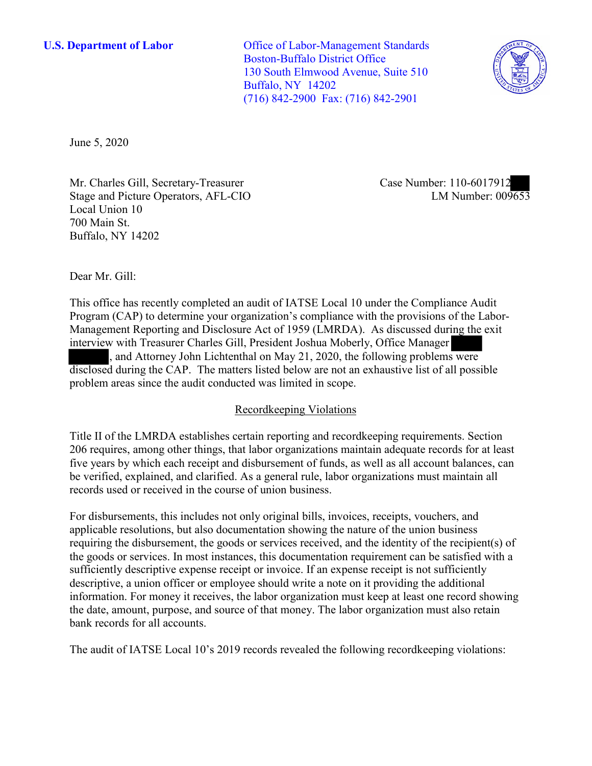**U.S. Department of Labor** Office of Labor-Management Standards Boston-Buffalo District Office 130 South Elmwood Avenue, Suite 510 Buffalo, NY 14202 (716) 842-2900 Fax: (716) 842-2901



June 5, 2020

Mr. Charles Gill, Secretary-Treasurer Stage and Picture Operators, AFL-CIO Local Union 10 700 Main St. Buffalo, NY 14202

Case Number: 110-6017912<br>LM Number: 009653

Dear Mr. Gill:

 This office has recently completed an audit of IATSE Local 10 under the Compliance Audit interview with Treasurer Charles Gill, President Joshua Moberly, Office Manager Management Reporting and Disclosure Act of 1959 (LMRDA)<br>interview with Treasurer Charles Gill, President Joshua Mobel,<br>and Attorney John Lichtenthal on May 21, 2020, the<br>disclosed during the CAP. The matters listed below a Program (CAP) to determine your organization's compliance with the provisions of the Labor-<br>
Management Reporting and Disclosure Act of 1959 (LMRDA). As discussed during the exit<br>
interview with Treasurer Charles Gill, Pre Management Reporting and Disclosure Act of 1959 (LMRDA). As discussed during the exit , and Attorney John Lichtenthal on May 21, 2020, the following problems were disclosed during the CAP. The matters listed below are not an exhaustive list of all possible

# Recordkeeping Violations

 206 requires, among other things, that labor organizations maintain adequate records for at least five years by which each receipt and disbursement of funds, as well as all account balances, can be verified, explained, and clarified. As a general rule, labor organizations must maintain all Title II of the LMRDA establishes certain reporting and recordkeeping requirements. Section records used or received in the course of union business.

For disbursements, this includes not only original bills, invoices, receipts, vouchers, and applicable resolutions, but also documentation showing the nature of the union business requiring the disbursement, the goods or services received, and the identity of the recipient(s) of the goods or services. In most instances, this documentation requirement can be satisfied with a sufficiently descriptive expense receipt or invoice. If an expense receipt is not sufficiently descriptive, a union officer or employee should write a note on it providing the additional information. For money it receives, the labor organization must keep at least one record showing the date, amount, purpose, and source of that money. The labor organization must also retain bank records for all accounts.

The audit of IATSE Local 10's 2019 records revealed the following recordkeeping violations: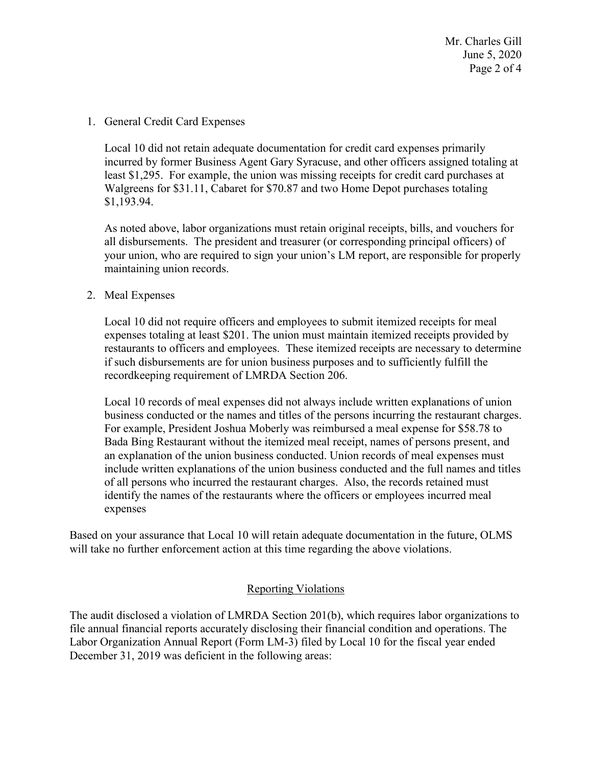### 1. General Credit Card Expenses

Local 10 did not retain adequate documentation for credit card expenses primarily incurred by former Business Agent Gary Syracuse, and other officers assigned totaling at least \$1,295. For example, the union was missing receipts for credit card purchases at Walgreens for \$31.11, Cabaret for \$70.87 and two Home Depot purchases totaling \$[1,193.94.](https://1,193.94)

As noted above, labor organizations must retain original receipts, bills, and vouchers for all disbursements. The president and treasurer (or corresponding principal officers) of your union, who are required to sign your union's LM report, are responsible for properly maintaining union records.

## 2. Meal Expenses

 Local 10 did not require officers and employees to submit itemized receipts for meal expenses totaling at least \$201. The union must maintain itemized receipts provided by restaurants to officers and employees. These itemized receipts are necessary to determine if such disbursements are for union business purposes and to sufficiently fulfill the recordkeeping requirement of LMRDA Section 206.

Local 10 records of meal expenses did not always include written explanations of union business conducted or the names and titles of the persons incurring the restaurant charges. For example, President Joshua Moberly was reimbursed a meal expense for \$58.78 to Bada Bing Restaurant without the itemized meal receipt, names of persons present, and an explanation of the union business conducted. Union records of meal expenses must include written explanations of the union business conducted and the full names and titles of all persons who incurred the restaurant charges. Also, the records retained must identify the names of the restaurants where the officers or employees incurred meal expenses

 Based on your assurance that Local 10 will retain adequate documentation in the future, OLMS will take no further enforcement action at this time regarding the above violations.

## Reporting Violations

 Labor Organization Annual Report (Form LM-3) filed by Local 10 for the fiscal year ended The audit disclosed a violation of LMRDA Section 201(b), which requires labor organizations to file annual financial reports accurately disclosing their financial condition and operations. The December 31, 2019 was deficient in the following areas: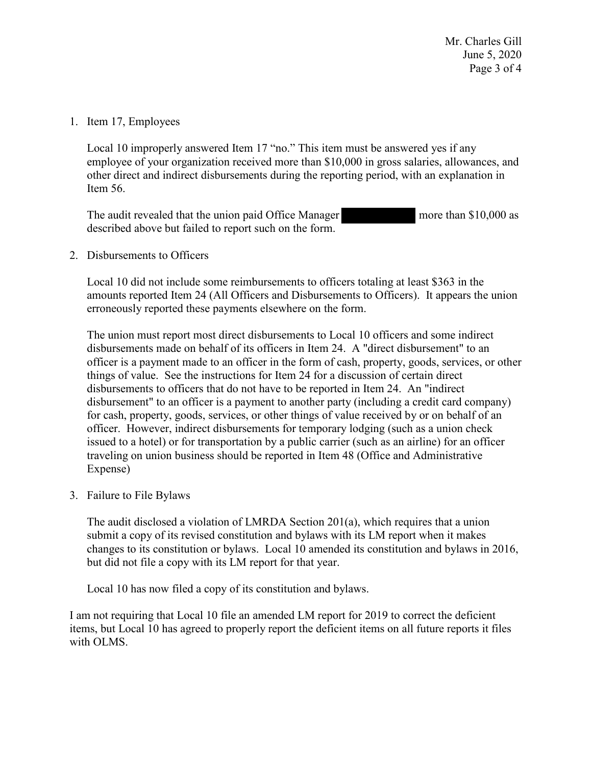Mr. Charles Gill June 5, 2020 Page 3 of 4

#### 1. Item 17, Employees

Local 10 improperly answered Item 17 "no." This item must be answered yes if any employee of your organization received more than \$10,000 in gross salaries, allowances, and other direct and indirect disbursements during the reporting period, with an explanation in Item 56.

The audit revealed that the union paid Office Manager more than \$10,000 as described above but failed to report such on the form.

2. Disbursements to Officers

Local 10 did not include some reimbursements to officers totaling at least \$363 in the amounts reported Item 24 (All Officers and Disbursements to Officers). It appears the union erroneously reported these payments elsewhere on the form.

 issued to a hotel) or for transportation by a public carrier (such as an airline) for an officer The union must report most direct disbursements to Local 10 officers and some indirect disbursements made on behalf of its officers in Item 24. A "direct disbursement" to an officer is a payment made to an officer in the form of cash, property, goods, services, or other things of value. See the instructions for Item 24 for a discussion of certain direct disbursements to officers that do not have to be reported in Item 24. An "indirect disbursement" to an officer is a payment to another party (including a credit card company) for cash, property, goods, services, or other things of value received by or on behalf of an officer. However, indirect disbursements for temporary lodging (such as a union check traveling on union business should be reported in Item 48 (Office and Administrative Expense)

3. Failure to File Bylaws

 but did not file a copy with its LM report for that year. The audit disclosed a violation of LMRDA Section 201(a), which requires that a union submit a copy of its revised constitution and bylaws with its LM report when it makes changes to its constitution or bylaws. Local 10 amended its constitution and bylaws in 2016,

Local 10 has now filed a copy of its constitution and bylaws.

I am not requiring that Local 10 file an amended LM report for 2019 to correct the deficient items, but Local 10 has agreed to properly report the deficient items on all future reports it files with OLMS.